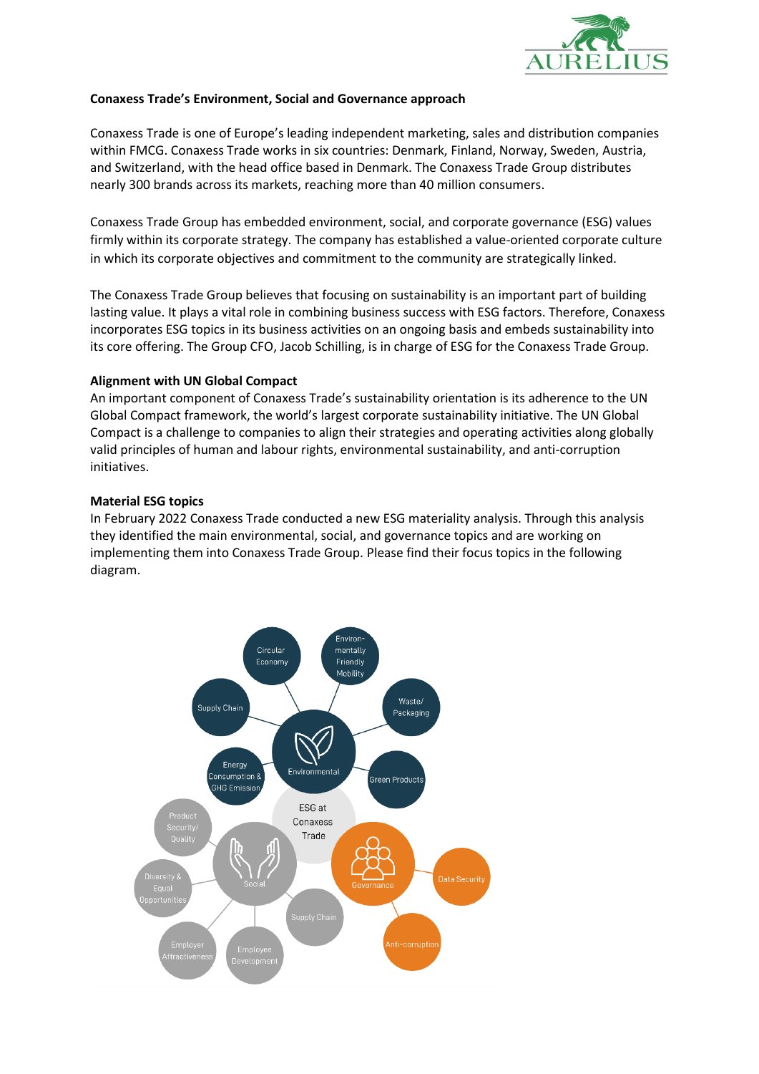

## **Conaxess Trade's Environment, Social and Governance approach**

Conaxess Trade is one of Europe's leading independent marketing, sales and distribution companies within FMCG. Conaxess Trade works in six countries: Denmark, Finland, Norway, Sweden, Austria, and Switzerland, with the head office based in Denmark. The Conaxess Trade Group distributes nearly 300 brands across its markets, reaching more than 40 million consumers.

Conaxess Trade Group has embedded environment, social, and corporate governance (ESG) values firmly within its corporate strategy. The company has established a value-oriented corporate culture in which its corporate objectives and commitment to the community are strategically linked.

The Conaxess Trade Group believes that focusing on sustainability is an important part of building lasting value. It plays a vital role in combining business success with ESG factors. Therefore, Conaxess incorporates ESG topics in its business activities on an ongoing basis and embeds sustainability into its core offering. The Group CFO, Jacob Schilling, is in charge of ESG for the Conaxess Trade Group.

#### **Alignment with UN Global Compact**

An important component of Conaxess Trade's sustainability orientation is its adherence to the [UN](https://www.unglobalcompact.org/)  [Global Compact framework](https://www.unglobalcompact.org/), the world's largest corporate sustainability initiative. The UN Global Compact is a challenge to companies to align their strategies and operating activities along globally valid principles of human and labour rights, environmental sustainability, and anti-corruption initiatives.

#### **Material ESG topics**

In February 2022 Conaxess Trade conducted a new ESG materiality analysis. Through this analysis they identified the main environmental, social, and governance topics and are working on implementing them into Conaxess Trade Group. Please find their focus topics in the following diagram.

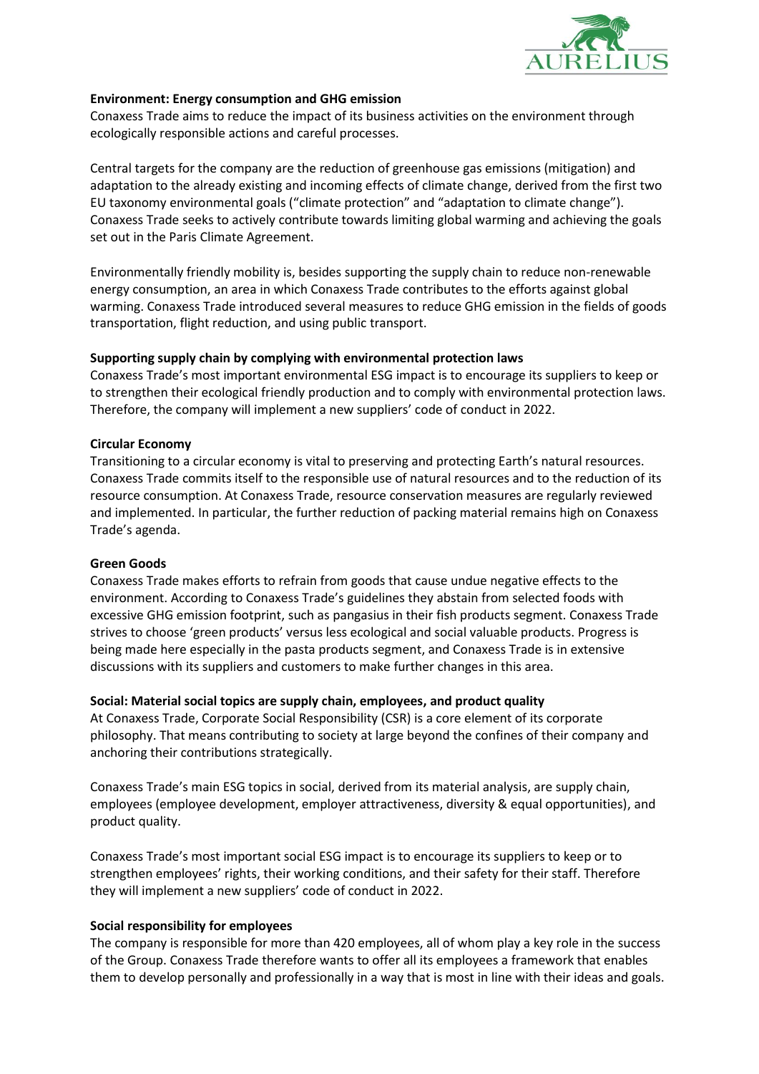

### **Environment: Energy consumption and GHG emission**

Conaxess Trade aims to reduce the impact of its business activities on the environment through ecologically responsible actions and careful processes.

Central targets for the company are the reduction of greenhouse gas emissions (mitigation) and adaptation to the already existing and incoming effects of climate change, derived from the first two EU taxonomy environmental goals ("climate protection" and "adaptation to climate change"). Conaxess Trade seeks to actively contribute towards limiting global warming and achieving the goals set out in the Paris Climate Agreement.

Environmentally friendly mobility is, besides supporting the supply chain to reduce non-renewable energy consumption, an area in which Conaxess Trade contributes to the efforts against global warming. Conaxess Trade introduced several measures to reduce GHG emission in the fields of goods transportation, flight reduction, and using public transport.

## **Supporting supply chain by complying with environmental protection laws**

Conaxess Trade's most important environmental ESG impact is to encourage its suppliers to keep or to strengthen their ecological friendly production and to comply with environmental protection laws. Therefore, the company will implement a new suppliers' code of conduct in 2022.

## **Circular Economy**

Transitioning to a circular economy is vital to preserving and protecting Earth's natural resources. Conaxess Trade commits itself to the responsible use of natural resources and to the reduction of its resource consumption. At Conaxess Trade, resource conservation measures are regularly reviewed and implemented. In particular, the further reduction of packing material remains high on Conaxess Trade's agenda.

#### **Green Goods**

Conaxess Trade makes efforts to refrain from goods that cause undue negative effects to the environment. According to Conaxess Trade's guidelines they abstain from selected foods with excessive GHG emission footprint, such as pangasius in their fish products segment. Conaxess Trade strives to choose 'green products' versus less ecological and social valuable products. Progress is being made here especially in the pasta products segment, and Conaxess Trade is in extensive discussions with its suppliers and customers to make further changes in this area.

# **Social: Material social topics are supply chain, employees, and product quality**

At Conaxess Trade, Corporate Social Responsibility (CSR) is a core element of its corporate philosophy. That means contributing to society at large beyond the confines of their company and anchoring their contributions strategically.

Conaxess Trade's main ESG topics in social, derived from its material analysis, are supply chain, employees (employee development, employer attractiveness, diversity & equal opportunities), and product quality.

Conaxess Trade's most important social ESG impact is to encourage its suppliers to keep or to strengthen employees' rights, their working conditions, and their safety for their staff. Therefore they will implement a new suppliers' code of conduct in 2022.

# **Social responsibility for employees**

The company is responsible for more than 420 employees, all of whom play a key role in the success of the Group. Conaxess Trade therefore wants to offer all its employees a framework that enables them to develop personally and professionally in a way that is most in line with their ideas and goals.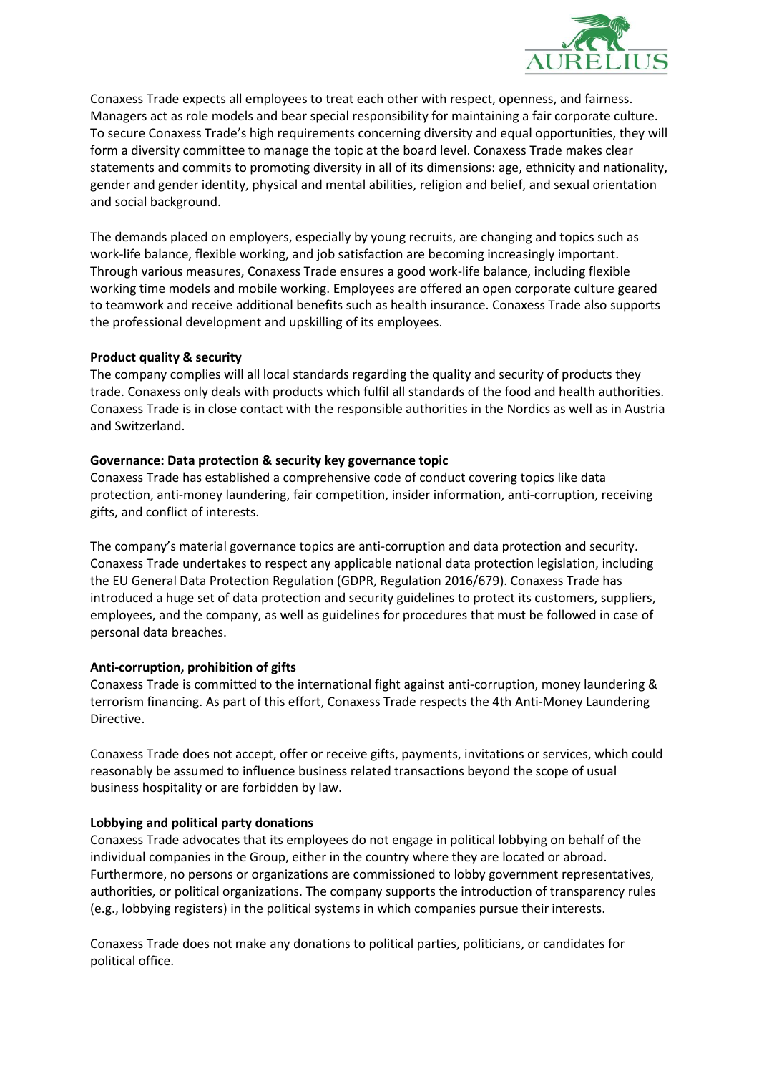

Conaxess Trade expects all employees to treat each other with respect, openness, and fairness. Managers act as role models and bear special responsibility for maintaining a fair corporate culture. To secure Conaxess Trade's high requirements concerning diversity and equal opportunities, they will form a diversity committee to manage the topic at the board level. Conaxess Trade makes clear statements and commits to promoting diversity in all of its dimensions: age, ethnicity and nationality, gender and gender identity, physical and mental abilities, religion and belief, and sexual orientation and social background.

The demands placed on employers, especially by young recruits, are changing and topics such as work-life balance, flexible working, and job satisfaction are becoming increasingly important. Through various measures, Conaxess Trade ensures a good work-life balance, including flexible working time models and mobile working. Employees are offered an open corporate culture geared to teamwork and receive additional benefits such as health insurance. Conaxess Trade also supports the professional development and upskilling of its employees.

## **Product quality & security**

The company complies will all local standards regarding the quality and security of products they trade. Conaxess only deals with products which fulfil all standards of the food and health authorities. Conaxess Trade is in close contact with the responsible authorities in the Nordics as well as in Austria and Switzerland.

## **Governance: Data protection & security key governance topic**

Conaxess Trade has established a comprehensive code of conduct covering topics like data protection, anti-money laundering, fair competition, insider information, anti-corruption, receiving gifts, and conflict of interests.

The company's material governance topics are anti-corruption and data protection and security. Conaxess Trade undertakes to respect any applicable national data protection legislation, including the EU General Data Protection Regulation (GDPR, Regulation 2016/679). Conaxess Trade has introduced a huge set of data protection and security guidelines to protect its customers, suppliers, employees, and the company, as well as guidelines for procedures that must be followed in case of personal data breaches.

# **Anti-corruption, prohibition of gifts**

Conaxess Trade is committed to the international fight against anti-corruption, money laundering & terrorism financing. As part of this effort, Conaxess Trade respects the 4th Anti-Money Laundering Directive.

Conaxess Trade does not accept, offer or receive gifts, payments, invitations or services, which could reasonably be assumed to influence business related transactions beyond the scope of usual business hospitality or are forbidden by law.

# **Lobbying and political party donations**

Conaxess Trade advocates that its employees do not engage in political lobbying on behalf of the individual companies in the Group, either in the country where they are located or abroad. Furthermore, no persons or organizations are commissioned to lobby government representatives, authorities, or political organizations. The company supports the introduction of transparency rules (e.g., lobbying registers) in the political systems in which companies pursue their interests.

Conaxess Trade does not make any donations to political parties, politicians, or candidates for political office.